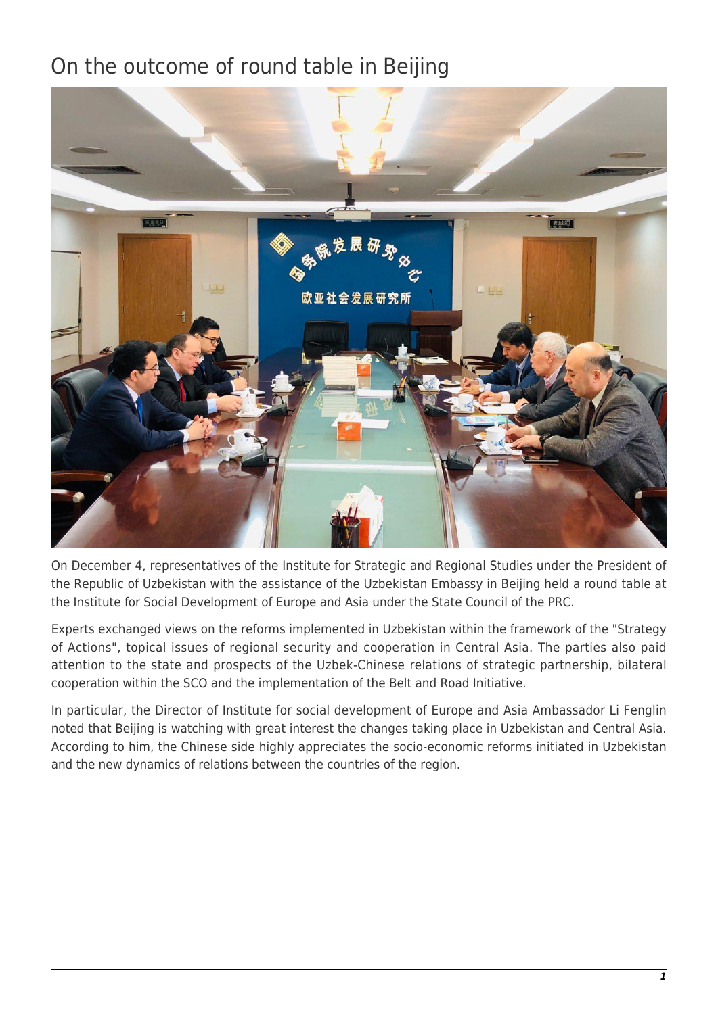## On the outcome of round table in Beijing



On December 4, representatives of the Institute for Strategic and Regional Studies under the President of the Republic of Uzbekistan with the assistance of the Uzbekistan Embassy in Beijing held a round table at the Institute for Social Development of Europe and Asia under the State Council of the PRC.

Experts exchanged views on the reforms implemented in Uzbekistan within the framework of the "Strategy of Actions", topical issues of regional security and cooperation in Central Asia. The parties also paid attention to the state and prospects of the Uzbek-Chinese relations of strategic partnership, bilateral cooperation within the SCO and the implementation of the Belt and Road Initiative.

In particular, the Director of Institute for social development of Europe and Asia Ambassador Li Fenglin noted that Beijing is watching with great interest the changes taking place in Uzbekistan and Central Asia. According to him, the Chinese side highly appreciates the socio-economic reforms initiated in Uzbekistan and the new dynamics of relations between the countries of the region.